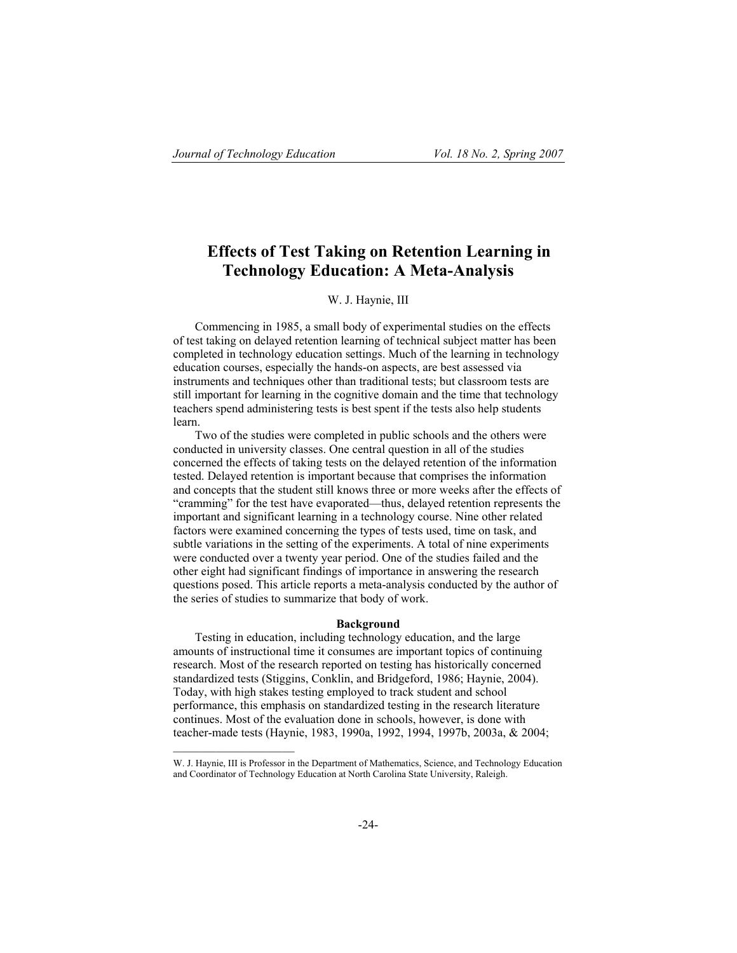$\mathcal{L}_\text{max}$ 

# **Effects of Test Taking on Retention Learning in Technology Education: A Meta-Analysis**

# W. J. Haynie, III

Commencing in 1985, a small body of experimental studies on the effects of test taking on delayed retention learning of technical subject matter has been completed in technology education settings. Much of the learning in technology education courses, especially the hands-on aspects, are best assessed via instruments and techniques other than traditional tests; but classroom tests are still important for learning in the cognitive domain and the time that technology teachers spend administering tests is best spent if the tests also help students learn.

Two of the studies were completed in public schools and the others were conducted in university classes. One central question in all of the studies concerned the effects of taking tests on the delayed retention of the information tested. Delayed retention is important because that comprises the information and concepts that the student still knows three or more weeks after the effects of "cramming" for the test have evaporated—thus, delayed retention represents the important and significant learning in a technology course. Nine other related factors were examined concerning the types of tests used, time on task, and subtle variations in the setting of the experiments. A total of nine experiments were conducted over a twenty year period. One of the studies failed and the other eight had significant findings of importance in answering the research questions posed. This article reports a meta-analysis conducted by the author of the series of studies to summarize that body of work.

# **Background**

Testing in education, including technology education, and the large amounts of instructional time it consumes are important topics of continuing research. Most of the research reported on testing has historically concerned standardized tests (Stiggins, Conklin, and Bridgeford, 1986; Haynie, 2004). Today, with high stakes testing employed to track student and school performance, this emphasis on standardized testing in the research literature continues. Most of the evaluation done in schools, however, is done with teacher-made tests (Haynie, 1983, 1990a, 1992, 1994, 1997b, 2003a, & 2004;

W. J. Haynie, III is Professor in the Department of Mathematics, Science, and Technology Education and Coordinator of Technology Education at North Carolina State University, Raleigh.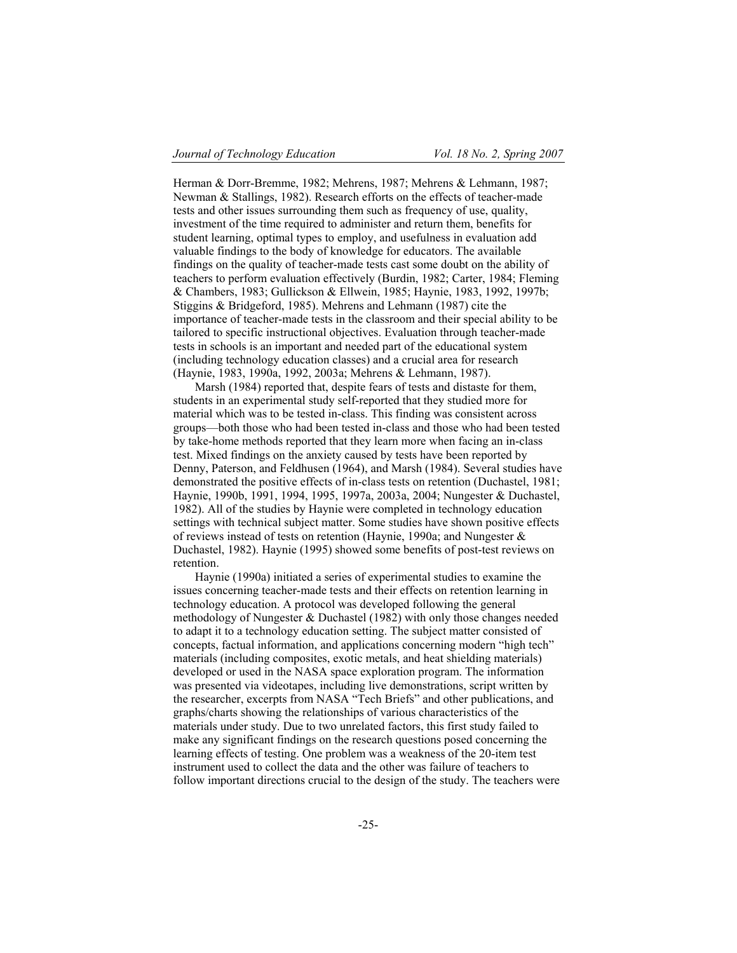Herman & Dorr-Bremme, 1982; Mehrens, 1987; Mehrens & Lehmann, 1987; Newman & Stallings, 1982). Research efforts on the effects of teacher-made tests and other issues surrounding them such as frequency of use, quality, investment of the time required to administer and return them, benefits for student learning, optimal types to employ, and usefulness in evaluation add valuable findings to the body of knowledge for educators. The available findings on the quality of teacher-made tests cast some doubt on the ability of teachers to perform evaluation effectively (Burdin, 1982; Carter, 1984; Fleming & Chambers, 1983; Gullickson & Ellwein, 1985; Haynie, 1983, 1992, 1997b; Stiggins & Bridgeford, 1985). Mehrens and Lehmann (1987) cite the importance of teacher-made tests in the classroom and their special ability to be tailored to specific instructional objectives. Evaluation through teacher-made tests in schools is an important and needed part of the educational system (including technology education classes) and a crucial area for research (Haynie, 1983, 1990a, 1992, 2003a; Mehrens & Lehmann, 1987).

Marsh (1984) reported that, despite fears of tests and distaste for them, students in an experimental study self-reported that they studied more for material which was to be tested in-class. This finding was consistent across groups—both those who had been tested in-class and those who had been tested by take-home methods reported that they learn more when facing an in-class test. Mixed findings on the anxiety caused by tests have been reported by Denny, Paterson, and Feldhusen (1964), and Marsh (1984). Several studies have demonstrated the positive effects of in-class tests on retention (Duchastel, 1981; Haynie, 1990b, 1991, 1994, 1995, 1997a, 2003a, 2004; Nungester & Duchastel, 1982). All of the studies by Haynie were completed in technology education settings with technical subject matter. Some studies have shown positive effects of reviews instead of tests on retention (Haynie, 1990a; and Nungester & Duchastel, 1982). Haynie (1995) showed some benefits of post-test reviews on retention.

Haynie (1990a) initiated a series of experimental studies to examine the issues concerning teacher-made tests and their effects on retention learning in technology education. A protocol was developed following the general methodology of Nungester & Duchastel (1982) with only those changes needed to adapt it to a technology education setting. The subject matter consisted of concepts, factual information, and applications concerning modern "high tech" materials (including composites, exotic metals, and heat shielding materials) developed or used in the NASA space exploration program. The information was presented via videotapes, including live demonstrations, script written by the researcher, excerpts from NASA "Tech Briefs" and other publications, and graphs/charts showing the relationships of various characteristics of the materials under study. Due to two unrelated factors, this first study failed to make any significant findings on the research questions posed concerning the learning effects of testing. One problem was a weakness of the 20-item test instrument used to collect the data and the other was failure of teachers to follow important directions crucial to the design of the study. The teachers were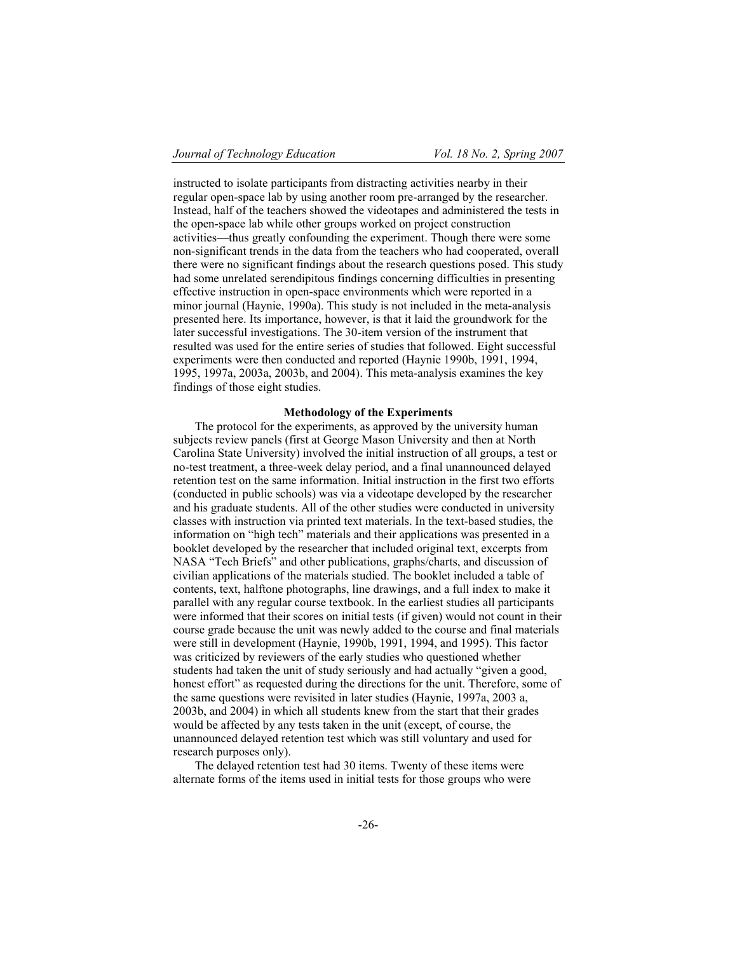instructed to isolate participants from distracting activities nearby in their regular open-space lab by using another room pre-arranged by the researcher. Instead, half of the teachers showed the videotapes and administered the tests in the open-space lab while other groups worked on project construction activities—thus greatly confounding the experiment. Though there were some non-significant trends in the data from the teachers who had cooperated, overall there were no significant findings about the research questions posed. This study had some unrelated serendipitous findings concerning difficulties in presenting effective instruction in open-space environments which were reported in a minor journal (Haynie, 1990a). This study is not included in the meta-analysis presented here. Its importance, however, is that it laid the groundwork for the later successful investigations. The 30-item version of the instrument that resulted was used for the entire series of studies that followed. Eight successful experiments were then conducted and reported (Haynie 1990b, 1991, 1994, 1995, 1997a, 2003a, 2003b, and 2004). This meta-analysis examines the key findings of those eight studies.

# **Methodology of the Experiments**

The protocol for the experiments, as approved by the university human subjects review panels (first at George Mason University and then at North Carolina State University) involved the initial instruction of all groups, a test or no-test treatment, a three-week delay period, and a final unannounced delayed retention test on the same information. Initial instruction in the first two efforts (conducted in public schools) was via a videotape developed by the researcher and his graduate students. All of the other studies were conducted in university classes with instruction via printed text materials. In the text-based studies, the information on "high tech" materials and their applications was presented in a booklet developed by the researcher that included original text, excerpts from NASA "Tech Briefs" and other publications, graphs/charts, and discussion of civilian applications of the materials studied. The booklet included a table of contents, text, halftone photographs, line drawings, and a full index to make it parallel with any regular course textbook. In the earliest studies all participants were informed that their scores on initial tests (if given) would not count in their course grade because the unit was newly added to the course and final materials were still in development (Haynie, 1990b, 1991, 1994, and 1995). This factor was criticized by reviewers of the early studies who questioned whether students had taken the unit of study seriously and had actually "given a good, honest effort" as requested during the directions for the unit. Therefore, some of the same questions were revisited in later studies (Haynie, 1997a, 2003 a, 2003b, and 2004) in which all students knew from the start that their grades would be affected by any tests taken in the unit (except, of course, the unannounced delayed retention test which was still voluntary and used for research purposes only).

The delayed retention test had 30 items. Twenty of these items were alternate forms of the items used in initial tests for those groups who were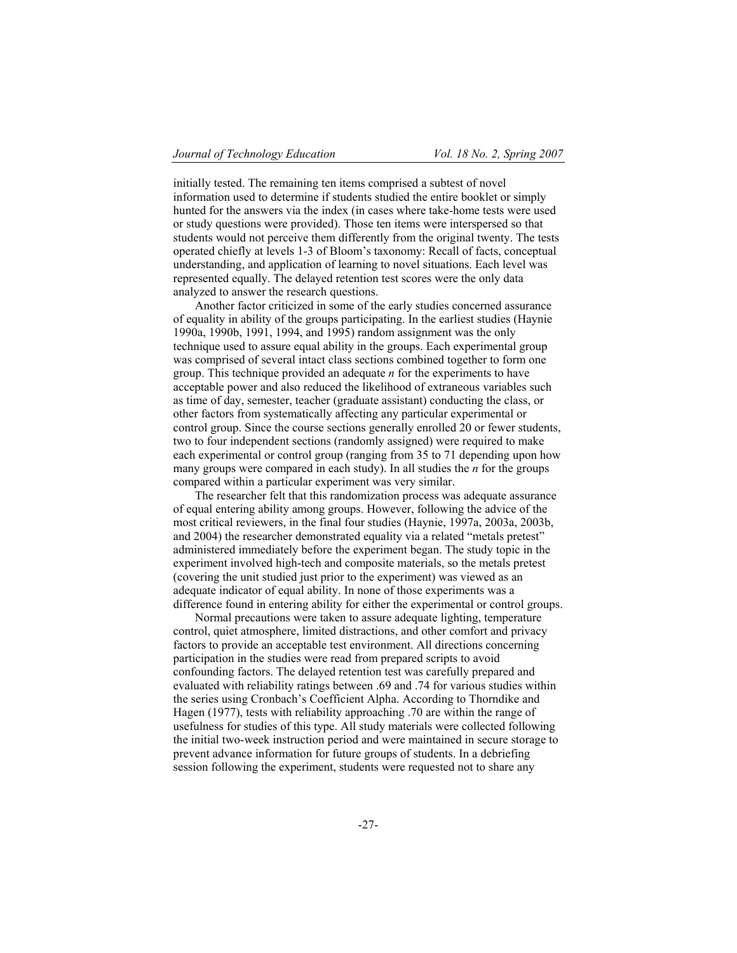initially tested. The remaining ten items comprised a subtest of novel information used to determine if students studied the entire booklet or simply hunted for the answers via the index (in cases where take-home tests were used or study questions were provided). Those ten items were interspersed so that students would not perceive them differently from the original twenty. The tests operated chiefly at levels 1-3 of Bloom's taxonomy: Recall of facts, conceptual understanding, and application of learning to novel situations. Each level was represented equally. The delayed retention test scores were the only data analyzed to answer the research questions.

Another factor criticized in some of the early studies concerned assurance of equality in ability of the groups participating. In the earliest studies (Haynie 1990a, 1990b, 1991, 1994, and 1995) random assignment was the only technique used to assure equal ability in the groups. Each experimental group was comprised of several intact class sections combined together to form one group. This technique provided an adequate *n* for the experiments to have acceptable power and also reduced the likelihood of extraneous variables such as time of day, semester, teacher (graduate assistant) conducting the class, or other factors from systematically affecting any particular experimental or control group. Since the course sections generally enrolled 20 or fewer students, two to four independent sections (randomly assigned) were required to make each experimental or control group (ranging from 35 to 71 depending upon how many groups were compared in each study). In all studies the *n* for the groups compared within a particular experiment was very similar.

The researcher felt that this randomization process was adequate assurance of equal entering ability among groups. However, following the advice of the most critical reviewers, in the final four studies (Haynie, 1997a, 2003a, 2003b, and 2004) the researcher demonstrated equality via a related "metals pretest" administered immediately before the experiment began. The study topic in the experiment involved high-tech and composite materials, so the metals pretest (covering the unit studied just prior to the experiment) was viewed as an adequate indicator of equal ability. In none of those experiments was a difference found in entering ability for either the experimental or control groups.

Normal precautions were taken to assure adequate lighting, temperature control, quiet atmosphere, limited distractions, and other comfort and privacy factors to provide an acceptable test environment. All directions concerning participation in the studies were read from prepared scripts to avoid confounding factors. The delayed retention test was carefully prepared and evaluated with reliability ratings between .69 and .74 for various studies within the series using Cronbach's Coefficient Alpha. According to Thorndike and Hagen (1977), tests with reliability approaching .70 are within the range of usefulness for studies of this type. All study materials were collected following the initial two-week instruction period and were maintained in secure storage to prevent advance information for future groups of students. In a debriefing session following the experiment, students were requested not to share any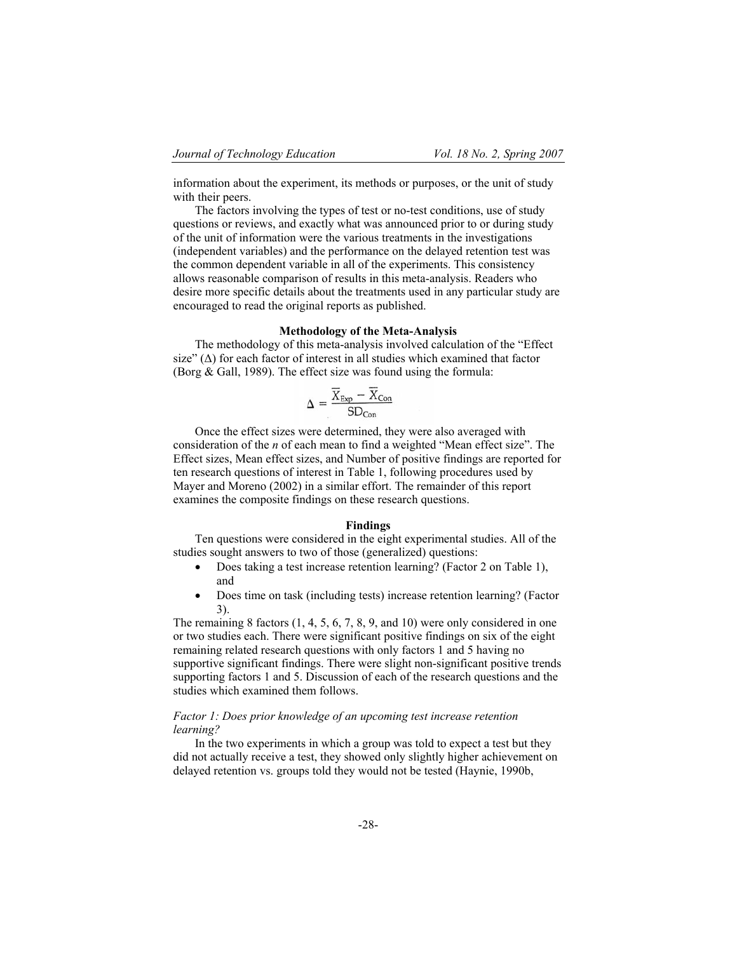information about the experiment, its methods or purposes, or the unit of study with their peers.

The factors involving the types of test or no-test conditions, use of study questions or reviews, and exactly what was announced prior to or during study of the unit of information were the various treatments in the investigations (independent variables) and the performance on the delayed retention test was the common dependent variable in all of the experiments. This consistency allows reasonable comparison of results in this meta-analysis. Readers who desire more specific details about the treatments used in any particular study are encouraged to read the original reports as published.

# **Methodology of the Meta-Analysis**

The methodology of this meta-analysis involved calculation of the "Effect size"  $(\Delta)$  for each factor of interest in all studies which examined that factor (Borg & Gall, 1989). The effect size was found using the formula:

$$
\Delta = \frac{\overline{X}_{Exp} - \overline{X}_{Con}}{SD_{Con}}
$$

Once the effect sizes were determined, they were also averaged with consideration of the *n* of each mean to find a weighted "Mean effect size". The Effect sizes, Mean effect sizes, and Number of positive findings are reported for ten research questions of interest in Table 1, following procedures used by Mayer and Moreno (2002) in a similar effort. The remainder of this report examines the composite findings on these research questions.

# **Findings**

Ten questions were considered in the eight experimental studies. All of the studies sought answers to two of those (generalized) questions:

- Does taking a test increase retention learning? (Factor 2 on Table 1), and
- ! Does time on task (including tests) increase retention learning? (Factor 3).

The remaining 8 factors  $(1, 4, 5, 6, 7, 8, 9, \text{ and } 10)$  were only considered in one or two studies each. There were significant positive findings on six of the eight remaining related research questions with only factors 1 and 5 having no supportive significant findings. There were slight non-significant positive trends supporting factors 1 and 5. Discussion of each of the research questions and the studies which examined them follows.

# *Factor 1: Does prior knowledge of an upcoming test increase retention learning?*

In the two experiments in which a group was told to expect a test but they did not actually receive a test, they showed only slightly higher achievement on delayed retention vs. groups told they would not be tested (Haynie, 1990b,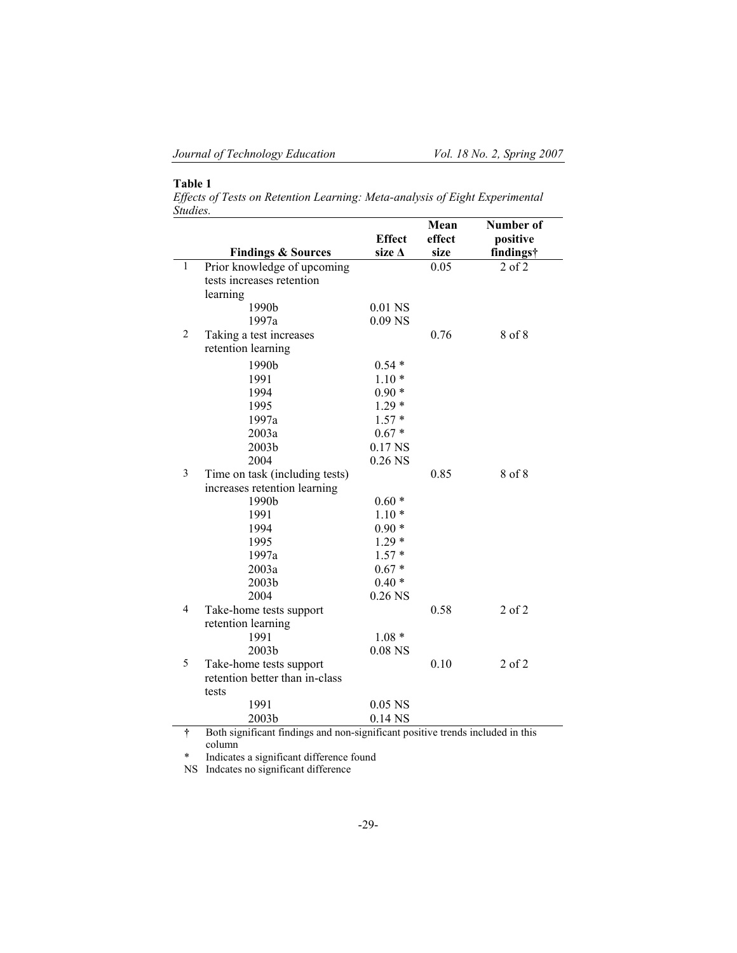# **Table 1**

*Effects of Tests on Retention Learning: Meta-analysis of Eight Experimental Studies.*

|                |                                                                                |                  | Mean   | Number of  |  |
|----------------|--------------------------------------------------------------------------------|------------------|--------|------------|--|
|                |                                                                                | <b>Effect</b>    | effect | positive   |  |
|                | <b>Findings &amp; Sources</b>                                                  | size $\Delta$    | size   | findings†  |  |
| $\mathbf{1}$   | Prior knowledge of upcoming                                                    |                  | 0.05   | $2$ of $2$ |  |
|                | tests increases retention                                                      |                  |        |            |  |
|                | learning                                                                       |                  |        |            |  |
|                | 1990b                                                                          | 0.01 NS          |        |            |  |
|                | 1997a                                                                          | $0.09$ NS        |        |            |  |
| 2              | Taking a test increases                                                        |                  | 0.76   | 8 of 8     |  |
|                | retention learning                                                             |                  |        |            |  |
|                | 1990b                                                                          | $0.54*$          |        |            |  |
|                | 1991                                                                           | $1.10*$          |        |            |  |
|                | 1994                                                                           | $0.90*$          |        |            |  |
|                | 1995                                                                           | $1.29*$          |        |            |  |
|                | 1997a                                                                          | $1.57*$          |        |            |  |
|                | 2003a                                                                          | $0.67*$          |        |            |  |
|                | 2003b                                                                          | 0.17 NS          |        |            |  |
|                | 2004                                                                           | $0.26$ NS        |        |            |  |
| 3              | Time on task (including tests)                                                 |                  | 0.85   | 8 of 8     |  |
|                | increases retention learning                                                   |                  |        |            |  |
|                | 1990b                                                                          | $0.60*$          |        |            |  |
|                | 1991                                                                           | $1.10*$          |        |            |  |
|                | 1994                                                                           | $0.90*$          |        |            |  |
|                | 1995                                                                           | $1.29*$          |        |            |  |
|                | 1997a                                                                          | $1.57*$          |        |            |  |
|                | 2003a                                                                          | $0.67*$          |        |            |  |
|                | 2003b                                                                          | $0.40*$          |        |            |  |
|                | 2004                                                                           | $0.26$ NS        |        |            |  |
| $\overline{4}$ | Take-home tests support                                                        |                  | 0.58   | $2$ of $2$ |  |
|                | retention learning                                                             |                  |        |            |  |
|                | 1991                                                                           | $1.08*$          |        |            |  |
|                | 2003b                                                                          | $0.08\;{\rm NS}$ |        |            |  |
| 5              | Take-home tests support                                                        |                  | 0.10   | $2$ of $2$ |  |
|                | retention better than in-class                                                 |                  |        |            |  |
|                | tests                                                                          |                  |        |            |  |
|                | 1991                                                                           | $0.05$ NS        |        |            |  |
|                | 2003b                                                                          | 0.14 NS          |        |            |  |
| $\dagger$      | Both significant findings and non-significant positive trends included in this |                  |        |            |  |

column

\* Indicates a significant difference found

NS Indcates no significant difference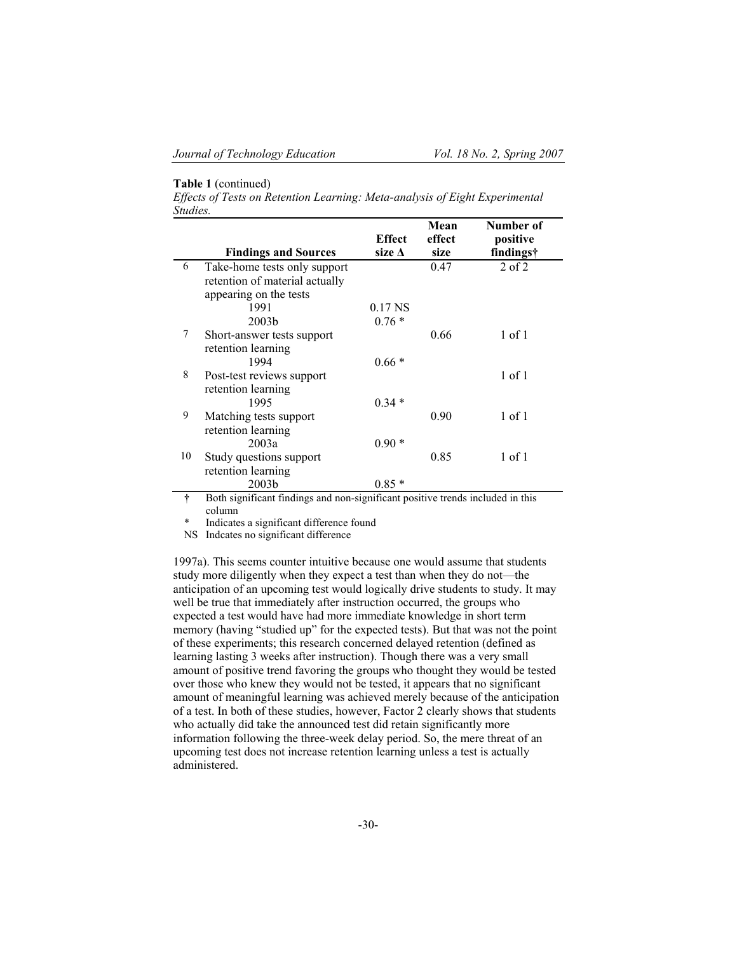# **Table 1** (continued)

*Effects of Tests on Retention Learning: Meta-analysis of Eight Experimental Studies.*

|    |                                                                                          |                    | Mean   | Number of  |
|----|------------------------------------------------------------------------------------------|--------------------|--------|------------|
|    |                                                                                          | <b>Effect</b>      | effect | positive   |
|    | <b>Findings and Sources</b>                                                              | size $\Delta$      | size   | findings†  |
| 6  | Take-home tests only support<br>retention of material actually<br>appearing on the tests |                    | 0.47   | $2$ of $2$ |
|    | 1991                                                                                     | 0.17 <sub>NS</sub> |        |            |
|    | 2003 <sub>b</sub>                                                                        | $0.76*$            |        |            |
| 7  | Short-answer tests support<br>retention learning                                         |                    | 0.66   | 1 of 1     |
|    | 1994                                                                                     | $0.66*$            |        |            |
| 8  | Post-test reviews support<br>retention learning                                          |                    |        | $1$ of $1$ |
|    | 1995                                                                                     | $0.34*$            |        |            |
| 9  | Matching tests support<br>retention learning                                             |                    | 0.90   | $1$ of $1$ |
|    | 2003a                                                                                    | $0.90*$            |        |            |
| 10 | Study questions support<br>retention learning                                            |                    | 0.85   | 1 of 1     |
|    | 2003 <sub>b</sub>                                                                        | $0.85*$            |        |            |

**†** Both significant findings and non-significant positive trends included in this column

Indicates a significant difference found

NS Indcates no significant difference

1997a). This seems counter intuitive because one would assume that students study more diligently when they expect a test than when they do not—the anticipation of an upcoming test would logically drive students to study. It may well be true that immediately after instruction occurred, the groups who expected a test would have had more immediate knowledge in short term memory (having "studied up" for the expected tests). But that was not the point of these experiments; this research concerned delayed retention (defined as learning lasting 3 weeks after instruction). Though there was a very small amount of positive trend favoring the groups who thought they would be tested over those who knew they would not be tested, it appears that no significant amount of meaningful learning was achieved merely because of the anticipation of a test. In both of these studies, however, Factor 2 clearly shows that students who actually did take the announced test did retain significantly more information following the three-week delay period. So, the mere threat of an upcoming test does not increase retention learning unless a test is actually administered.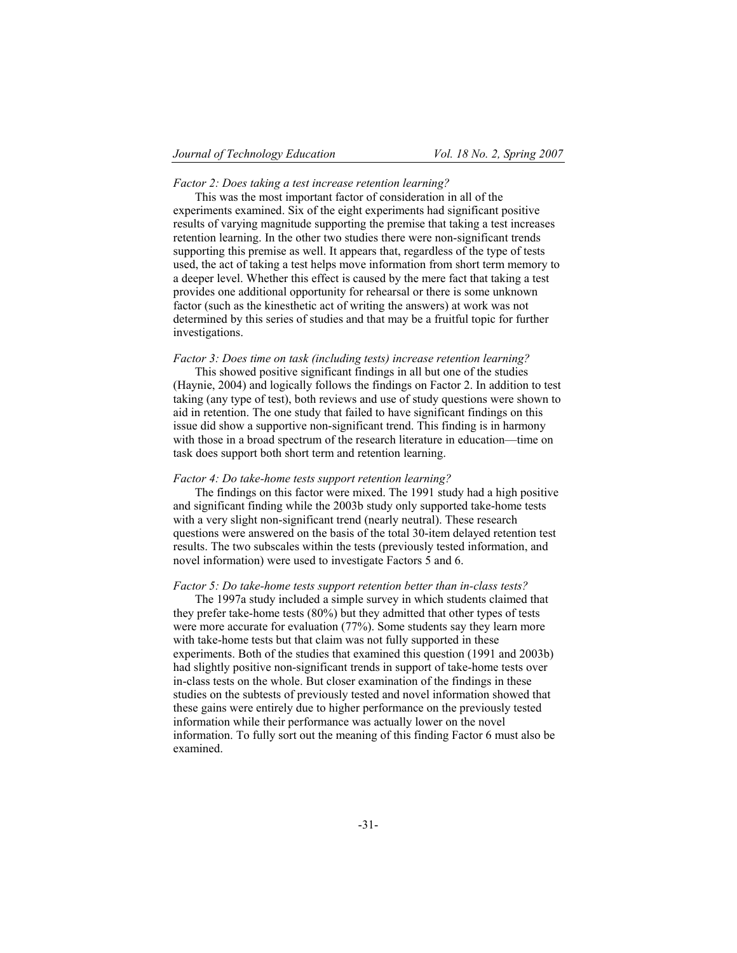### *Factor 2: Does taking a test increase retention learning?*

This was the most important factor of consideration in all of the experiments examined. Six of the eight experiments had significant positive results of varying magnitude supporting the premise that taking a test increases retention learning. In the other two studies there were non-significant trends supporting this premise as well. It appears that, regardless of the type of tests used, the act of taking a test helps move information from short term memory to a deeper level. Whether this effect is caused by the mere fact that taking a test provides one additional opportunity for rehearsal or there is some unknown factor (such as the kinesthetic act of writing the answers) at work was not determined by this series of studies and that may be a fruitful topic for further investigations.

# *Factor 3: Does time on task (including tests) increase retention learning?*

This showed positive significant findings in all but one of the studies (Haynie, 2004) and logically follows the findings on Factor 2. In addition to test taking (any type of test), both reviews and use of study questions were shown to aid in retention. The one study that failed to have significant findings on this issue did show a supportive non-significant trend. This finding is in harmony with those in a broad spectrum of the research literature in education—time on task does support both short term and retention learning.

#### *Factor 4: Do take-home tests support retention learning?*

The findings on this factor were mixed. The 1991 study had a high positive and significant finding while the 2003b study only supported take-home tests with a very slight non-significant trend (nearly neutral). These research questions were answered on the basis of the total 30-item delayed retention test results. The two subscales within the tests (previously tested information, and novel information) were used to investigate Factors 5 and 6.

#### *Factor 5: Do take-home tests support retention better than in-class tests?*

The 1997a study included a simple survey in which students claimed that they prefer take-home tests (80%) but they admitted that other types of tests were more accurate for evaluation (77%). Some students say they learn more with take-home tests but that claim was not fully supported in these experiments. Both of the studies that examined this question (1991 and 2003b) had slightly positive non-significant trends in support of take-home tests over in-class tests on the whole. But closer examination of the findings in these studies on the subtests of previously tested and novel information showed that these gains were entirely due to higher performance on the previously tested information while their performance was actually lower on the novel information. To fully sort out the meaning of this finding Factor 6 must also be examined.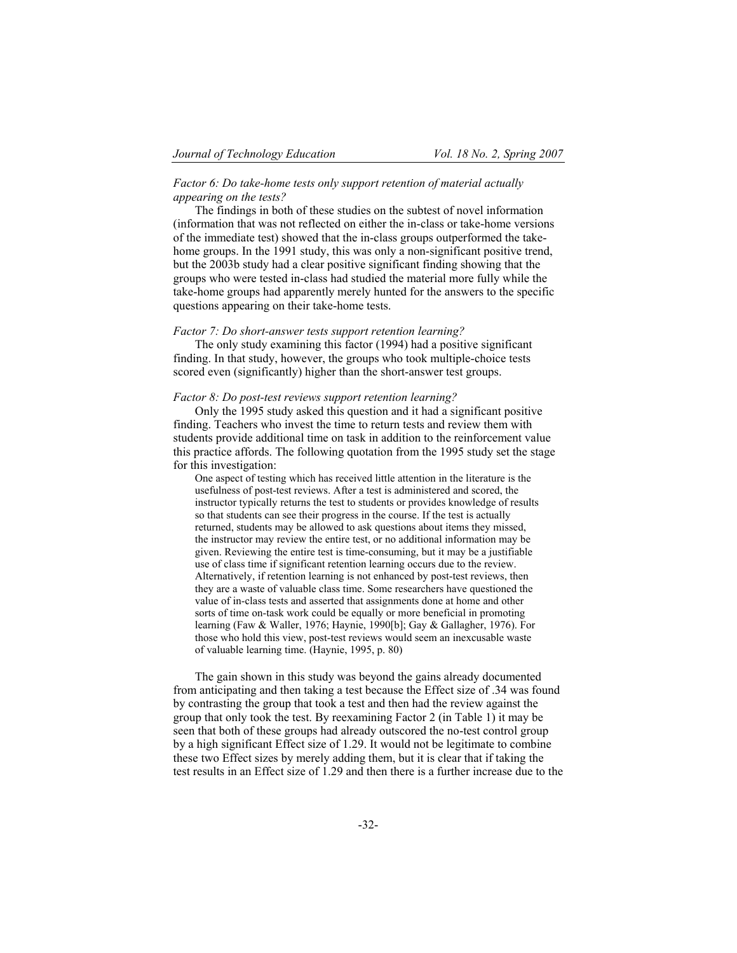# *Factor 6: Do take-home tests only support retention of material actually appearing on the tests?*

The findings in both of these studies on the subtest of novel information (information that was not reflected on either the in-class or take-home versions of the immediate test) showed that the in-class groups outperformed the takehome groups. In the 1991 study, this was only a non-significant positive trend, but the 2003b study had a clear positive significant finding showing that the groups who were tested in-class had studied the material more fully while the take-home groups had apparently merely hunted for the answers to the specific questions appearing on their take-home tests.

### *Factor 7: Do short-answer tests support retention learning?*

The only study examining this factor (1994) had a positive significant finding. In that study, however, the groups who took multiple-choice tests scored even (significantly) higher than the short-answer test groups.

# *Factor 8: Do post-test reviews support retention learning?*

Only the 1995 study asked this question and it had a significant positive finding. Teachers who invest the time to return tests and review them with students provide additional time on task in addition to the reinforcement value this practice affords. The following quotation from the 1995 study set the stage for this investigation:

One aspect of testing which has received little attention in the literature is the usefulness of post-test reviews. After a test is administered and scored, the instructor typically returns the test to students or provides knowledge of results so that students can see their progress in the course. If the test is actually returned, students may be allowed to ask questions about items they missed, the instructor may review the entire test, or no additional information may be given. Reviewing the entire test is time-consuming, but it may be a justifiable use of class time if significant retention learning occurs due to the review. Alternatively, if retention learning is not enhanced by post-test reviews, then they are a waste of valuable class time. Some researchers have questioned the value of in-class tests and asserted that assignments done at home and other sorts of time on-task work could be equally or more beneficial in promoting learning (Faw & Waller, 1976; Haynie, 1990[b]; Gay & Gallagher, 1976). For those who hold this view, post-test reviews would seem an inexcusable waste of valuable learning time. (Haynie, 1995, p. 80)

The gain shown in this study was beyond the gains already documented from anticipating and then taking a test because the Effect size of .34 was found by contrasting the group that took a test and then had the review against the group that only took the test. By reexamining Factor 2 (in Table 1) it may be seen that both of these groups had already outscored the no-test control group by a high significant Effect size of 1.29. It would not be legitimate to combine these two Effect sizes by merely adding them, but it is clear that if taking the test results in an Effect size of 1.29 and then there is a further increase due to the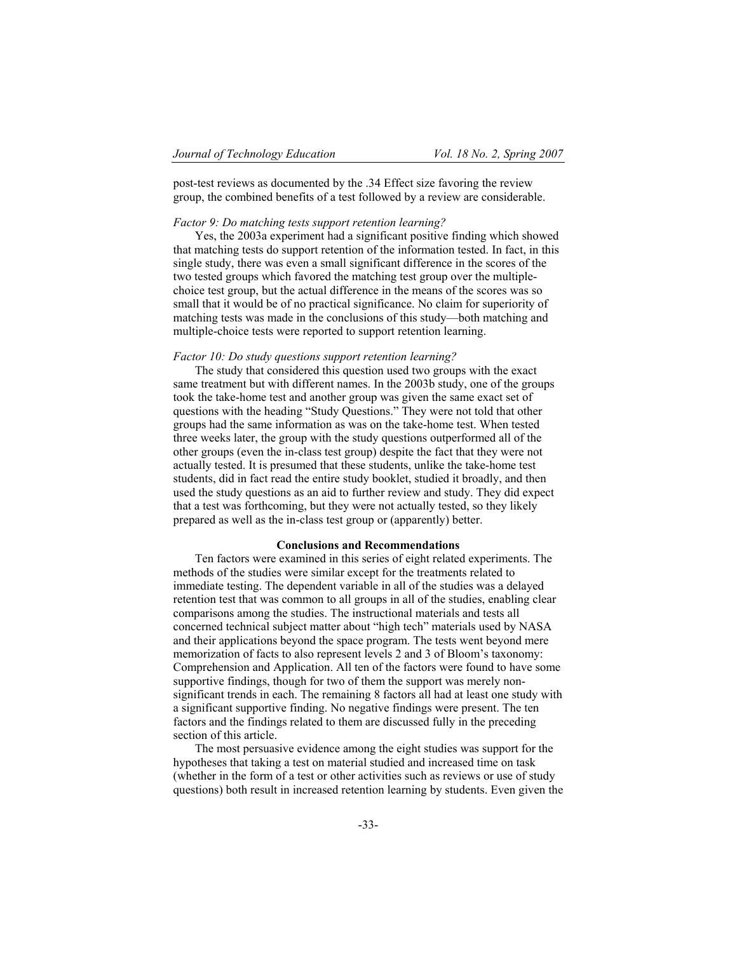post-test reviews as documented by the .34 Effect size favoring the review group, the combined benefits of a test followed by a review are considerable.

### *Factor 9: Do matching tests support retention learning?*

Yes, the 2003a experiment had a significant positive finding which showed that matching tests do support retention of the information tested. In fact, in this single study, there was even a small significant difference in the scores of the two tested groups which favored the matching test group over the multiplechoice test group, but the actual difference in the means of the scores was so small that it would be of no practical significance. No claim for superiority of matching tests was made in the conclusions of this study—both matching and multiple-choice tests were reported to support retention learning.

# *Factor 10: Do study questions support retention learning?*

The study that considered this question used two groups with the exact same treatment but with different names. In the 2003b study, one of the groups took the take-home test and another group was given the same exact set of questions with the heading "Study Questions." They were not told that other groups had the same information as was on the take-home test. When tested three weeks later, the group with the study questions outperformed all of the other groups (even the in-class test group) despite the fact that they were not actually tested. It is presumed that these students, unlike the take-home test students, did in fact read the entire study booklet, studied it broadly, and then used the study questions as an aid to further review and study. They did expect that a test was forthcoming, but they were not actually tested, so they likely prepared as well as the in-class test group or (apparently) better.

#### **Conclusions and Recommendations**

Ten factors were examined in this series of eight related experiments. The methods of the studies were similar except for the treatments related to immediate testing. The dependent variable in all of the studies was a delayed retention test that was common to all groups in all of the studies, enabling clear comparisons among the studies. The instructional materials and tests all concerned technical subject matter about "high tech" materials used by NASA and their applications beyond the space program. The tests went beyond mere memorization of facts to also represent levels 2 and 3 of Bloom's taxonomy: Comprehension and Application. All ten of the factors were found to have some supportive findings, though for two of them the support was merely nonsignificant trends in each. The remaining 8 factors all had at least one study with a significant supportive finding. No negative findings were present. The ten factors and the findings related to them are discussed fully in the preceding section of this article.

The most persuasive evidence among the eight studies was support for the hypotheses that taking a test on material studied and increased time on task (whether in the form of a test or other activities such as reviews or use of study questions) both result in increased retention learning by students. Even given the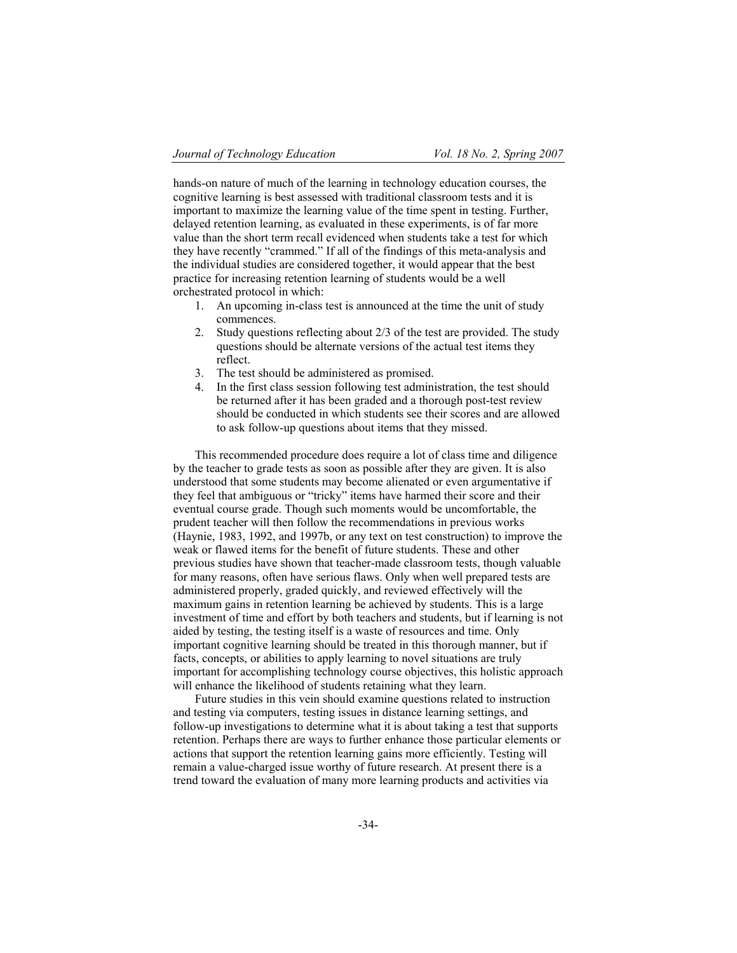hands-on nature of much of the learning in technology education courses, the cognitive learning is best assessed with traditional classroom tests and it is important to maximize the learning value of the time spent in testing. Further, delayed retention learning, as evaluated in these experiments, is of far more value than the short term recall evidenced when students take a test for which they have recently "crammed." If all of the findings of this meta-analysis and the individual studies are considered together, it would appear that the best practice for increasing retention learning of students would be a well orchestrated protocol in which:

- 1. An upcoming in-class test is announced at the time the unit of study commences.
- 2. Study questions reflecting about 2/3 of the test are provided. The study questions should be alternate versions of the actual test items they reflect.
- 3. The test should be administered as promised.
- 4. In the first class session following test administration, the test should be returned after it has been graded and a thorough post-test review should be conducted in which students see their scores and are allowed to ask follow-up questions about items that they missed.

This recommended procedure does require a lot of class time and diligence by the teacher to grade tests as soon as possible after they are given. It is also understood that some students may become alienated or even argumentative if they feel that ambiguous or "tricky" items have harmed their score and their eventual course grade. Though such moments would be uncomfortable, the prudent teacher will then follow the recommendations in previous works (Haynie, 1983, 1992, and 1997b, or any text on test construction) to improve the weak or flawed items for the benefit of future students. These and other previous studies have shown that teacher-made classroom tests, though valuable for many reasons, often have serious flaws. Only when well prepared tests are administered properly, graded quickly, and reviewed effectively will the maximum gains in retention learning be achieved by students. This is a large investment of time and effort by both teachers and students, but if learning is not aided by testing, the testing itself is a waste of resources and time. Only important cognitive learning should be treated in this thorough manner, but if facts, concepts, or abilities to apply learning to novel situations are truly important for accomplishing technology course objectives, this holistic approach will enhance the likelihood of students retaining what they learn.

Future studies in this vein should examine questions related to instruction and testing via computers, testing issues in distance learning settings, and follow-up investigations to determine what it is about taking a test that supports retention. Perhaps there are ways to further enhance those particular elements or actions that support the retention learning gains more efficiently. Testing will remain a value-charged issue worthy of future research. At present there is a trend toward the evaluation of many more learning products and activities via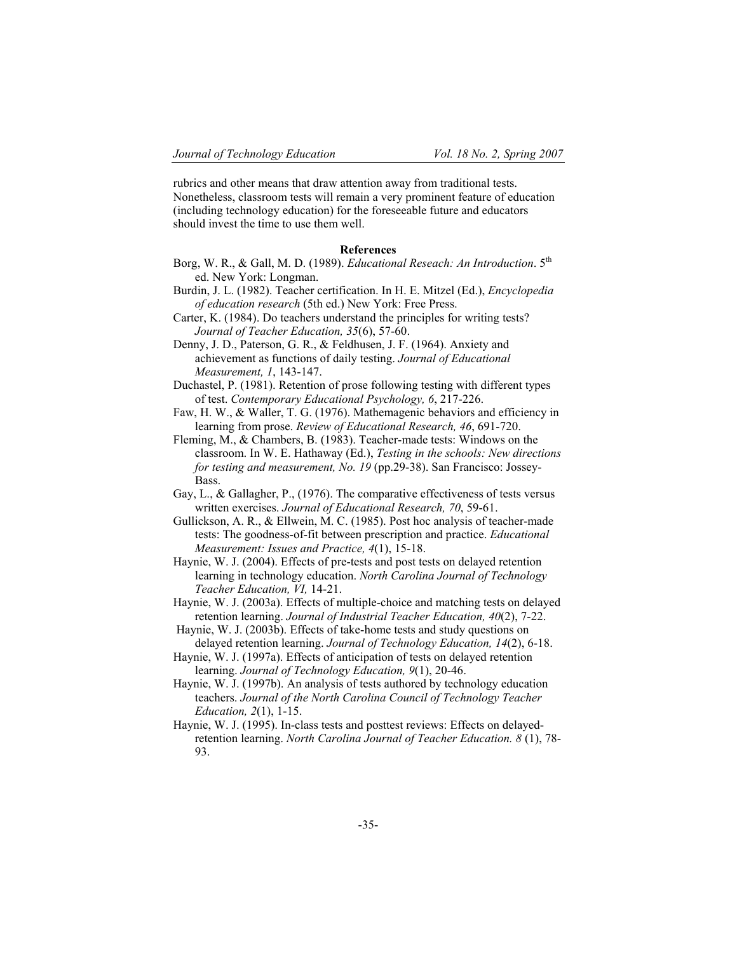rubrics and other means that draw attention away from traditional tests. Nonetheless, classroom tests will remain a very prominent feature of education (including technology education) for the foreseeable future and educators should invest the time to use them well.

# **References**

- Borg, W. R., & Gall, M. D. (1989). *Educational Reseach: An Introduction*. 5th ed. New York: Longman.
- Burdin, J. L. (1982). Teacher certification. In H. E. Mitzel (Ed.), *Encyclopedia of education research* (5th ed.) New York: Free Press.
- Carter, K. (1984). Do teachers understand the principles for writing tests? *Journal of Teacher Education, 35*(6), 57-60.
- Denny, J. D., Paterson, G. R., & Feldhusen, J. F. (1964). Anxiety and achievement as functions of daily testing. *Journal of Educational Measurement, 1*, 143-147.
- Duchastel, P. (1981). Retention of prose following testing with different types of test. *Contemporary Educational Psychology, 6*, 217-226.
- Faw, H. W., & Waller, T. G. (1976). Mathemagenic behaviors and efficiency in learning from prose. *Review of Educational Research, 46*, 691-720.
- Fleming, M., & Chambers, B. (1983). Teacher-made tests: Windows on the classroom. In W. E. Hathaway (Ed.), *Testing in the schools: New directions for testing and measurement, No. 19* (pp.29-38). San Francisco: Jossey-Bass.
- Gay, L., & Gallagher, P., (1976). The comparative effectiveness of tests versus written exercises. *Journal of Educational Research, 70*, 59-61.
- Gullickson, A. R., & Ellwein, M. C. (1985). Post hoc analysis of teacher-made tests: The goodness-of-fit between prescription and practice. *Educational Measurement: Issues and Practice, 4*(1), 15-18.
- Haynie, W. J. (2004). Effects of pre-tests and post tests on delayed retention learning in technology education. *North Carolina Journal of Technology Teacher Education, VI,* 14-21.
- Haynie, W. J. (2003a). Effects of multiple-choice and matching tests on delayed retention learning. *Journal of Industrial Teacher Education, 40*(2), 7-22.
- Haynie, W. J. (2003b). Effects of take-home tests and study questions on delayed retention learning. *Journal of Technology Education, 14*(2), 6-18.
- Haynie, W. J. (1997a). Effects of anticipation of tests on delayed retention learning. *Journal of Technology Education, 9*(1), 20-46.
- Haynie, W. J. (1997b). An analysis of tests authored by technology education teachers. *Journal of the North Carolina Council of Technology Teacher Education, 2*(1), 1-15.
- Haynie, W. J. (1995). In-class tests and posttest reviews: Effects on delayedretention learning. *North Carolina Journal of Teacher Education. 8* (1), 78- 93.